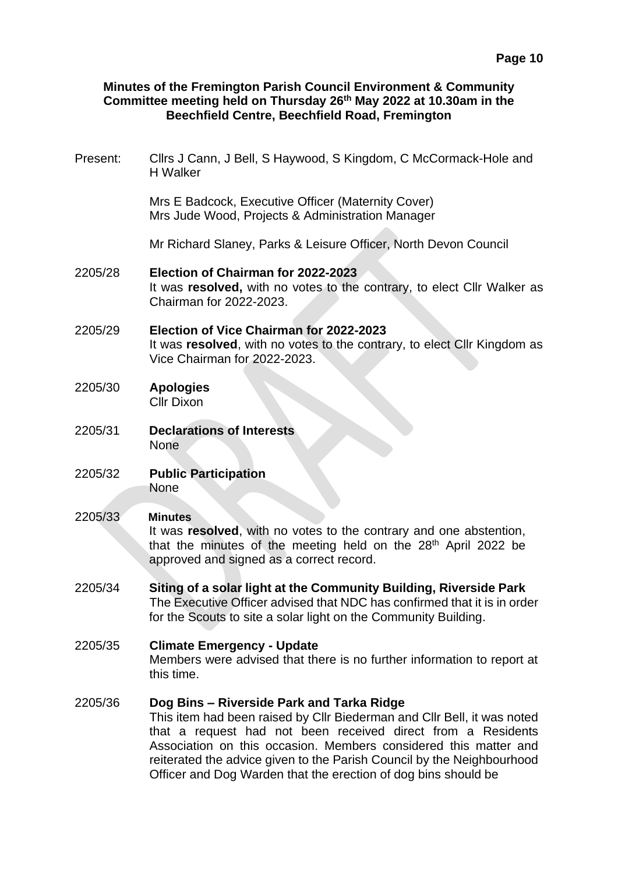## **Minutes of the Fremington Parish Council Environment & Community Committee meeting held on Thursday 26th May 2022 at 10.30am in the Beechfield Centre, Beechfield Road, Fremington**

Present: Cllrs J Cann, J Bell, S Haywood, S Kingdom, C McCormack-Hole and H Walker

> Mrs E Badcock, Executive Officer (Maternity Cover) Mrs Jude Wood, Projects & Administration Manager

Mr Richard Slaney, Parks & Leisure Officer, North Devon Council

- 2205/28 **Election of Chairman for 2022-2023** It was **resolved,** with no votes to the contrary, to elect Cllr Walker as Chairman for 2022-2023.
- 2205/29 **Election of Vice Chairman for 2022-2023** It was **resolved**, with no votes to the contrary, to elect Cllr Kingdom as Vice Chairman for 2022-2023.
- 2205/30 **Apologies** Cllr Dixon
- 2205/31 **Declarations of Interests** None
- 2205/32 **Public Participation** None

### 2205/33 **Minutes**

It was **resolved**, with no votes to the contrary and one abstention, that the minutes of the meeting held on the 28<sup>th</sup> April 2022 be approved and signed as a correct record.

2205/34 **Siting of a solar light at the Community Building, Riverside Park** The Executive Officer advised that NDC has confirmed that it is in order for the Scouts to site a solar light on the Community Building.

# 2205/35 **Climate Emergency - Update**

Members were advised that there is no further information to report at this time.

#### 2205/36 **Dog Bins – Riverside Park and Tarka Ridge** This item had been raised by Cllr Biederman and Cllr Bell, it was noted

that a request had not been received direct from a Residents Association on this occasion. Members considered this matter and reiterated the advice given to the Parish Council by the Neighbourhood Officer and Dog Warden that the erection of dog bins should be